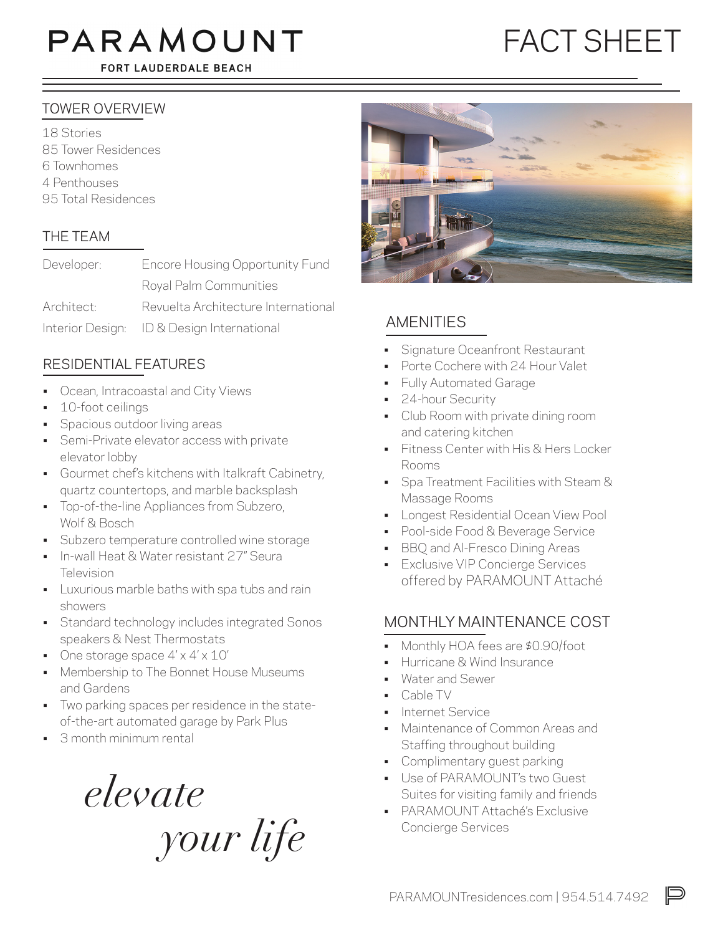# PARAMOUNT

FORT LAUDERDALE BEACH

## FACT SHEET

#### TOWER OVERVIEW

18 Stories 85 Tower Residences 6 Townhomes 4 Penthouses 95 Total Residences

#### THE TEAM

| Developer: | Encore Housing Opportunity Fund            |
|------------|--------------------------------------------|
|            | Royal Palm Communities                     |
| Architect: | Revuelta Architecture International        |
|            | Interior Design: ID & Design International |

#### RESIDENTIAL FEATURES

- Ocean, Intracoastal and City Views
- 10-foot ceilings
- Spacious outdoor living areas
- Semi-Private elevator access with private elevator lobby
- Gourmet chef's kitchens with Italkraft Cabinetry, quartz countertops, and marble backsplash
- Top-of-the-line Appliances from Subzero, Wolf & Bosch
- Subzero temperature controlled wine storage
- In-wall Heat & Water resistant 27" Seura **Television**
- Luxurious marble baths with spa tubs and rain showers
- Standard technology includes integrated Sonos speakers & Nest Thermostats
- One storage space  $4' \times 4' \times 10'$
- Membership to The Bonnet House Museums and Gardens
- Two parking spaces per residence in the stateof-the-art automated garage by Park Plus
- 3 month minimum rental

*elevate your life* 



#### AMENITIES

- Signature Oceanfront Restaurant
- Porte Cochere with 24 Hour Valet
- Fully Automated Garage
- 24-hour Security
- Club Room with private dining room and catering kitchen
- Fitness Center with His & Hers Locker Rooms
- Spa Treatment Facilities with Steam & Massage Rooms
- Longest Residential Ocean View Pool
- Pool-side Food & Beverage Service
- BBQ and Al-Fresco Dining Areas
- **Exclusive VIP Concierge Services** offered by PARAMOUNT Attaché

#### MONTHLY MAINTENANCE COST

- Monthly HOA fees are \$0.90/foot
- Hurricane & Wind Insurance
- Water and Sewer
- Cable TV
- Internet Service
- Maintenance of Common Areas and Staffing throughout building
- Complimentary quest parking
- Use of PARAMOUNT's two Guest Suites for visiting family and friends
- PARAMOUNT Attaché's Exclusive Concierge Services